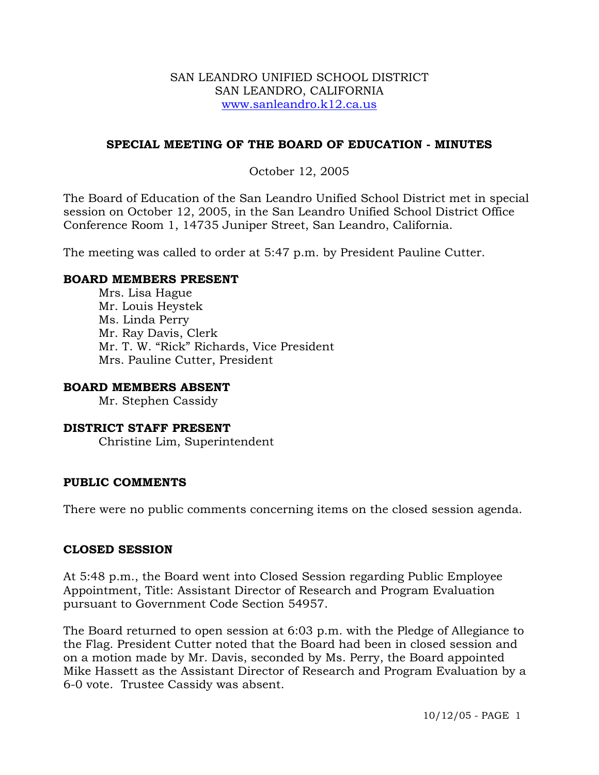#### SAN LEANDRO UNIFIED SCHOOL DISTRICT SAN LEANDRO, CALIFORNIA www.sanleandro.k12.ca.us

## **SPECIAL MEETING OF THE BOARD OF EDUCATION - MINUTES**

## October 12, 2005

The Board of Education of the San Leandro Unified School District met in special session on October 12, 2005, in the San Leandro Unified School District Office Conference Room 1, 14735 Juniper Street, San Leandro, California.

The meeting was called to order at 5:47 p.m. by President Pauline Cutter.

## **BOARD MEMBERS PRESENT**

Mrs. Lisa Hague Mr. Louis Heystek Ms. Linda Perry Mr. Ray Davis, Clerk Mr. T. W. "Rick" Richards, Vice President Mrs. Pauline Cutter, President

## **BOARD MEMBERS ABSENT**

Mr. Stephen Cassidy

# **DISTRICT STAFF PRESENT**

Christine Lim, Superintendent

## **PUBLIC COMMENTS**

There were no public comments concerning items on the closed session agenda.

#### **CLOSED SESSION**

At 5:48 p.m., the Board went into Closed Session regarding Public Employee Appointment, Title: Assistant Director of Research and Program Evaluation pursuant to Government Code Section 54957.

The Board returned to open session at 6:03 p.m. with the Pledge of Allegiance to the Flag. President Cutter noted that the Board had been in closed session and on a motion made by Mr. Davis, seconded by Ms. Perry, the Board appointed Mike Hassett as the Assistant Director of Research and Program Evaluation by a 6-0 vote. Trustee Cassidy was absent.